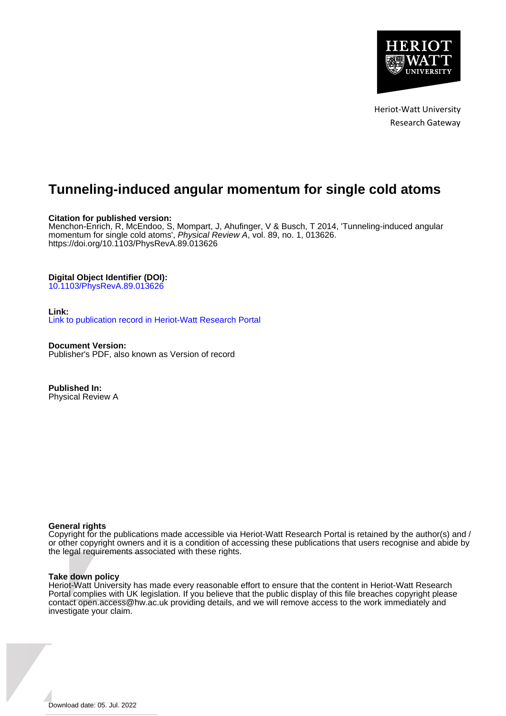

Heriot-Watt University Research Gateway

# **Tunneling-induced angular momentum for single cold atoms**

## **Citation for published version:**

Menchon-Enrich, R, McEndoo, S, Mompart, J, Ahufinger, V & Busch, T 2014, 'Tunneling-induced angular momentum for single cold atoms', Physical Review A, vol. 89, no. 1, 013626. <https://doi.org/10.1103/PhysRevA.89.013626>

## **Digital Object Identifier (DOI):**

[10.1103/PhysRevA.89.013626](https://doi.org/10.1103/PhysRevA.89.013626)

#### **Link:**

[Link to publication record in Heriot-Watt Research Portal](https://researchportal.hw.ac.uk/en/publications/4d5bb969-ca32-46d9-93d5-c1aaadacaf6e)

**Document Version:** Publisher's PDF, also known as Version of record

**Published In:** Physical Review A

#### **General rights**

Copyright for the publications made accessible via Heriot-Watt Research Portal is retained by the author(s) and / or other copyright owners and it is a condition of accessing these publications that users recognise and abide by the legal requirements associated with these rights.

#### **Take down policy**

Heriot-Watt University has made every reasonable effort to ensure that the content in Heriot-Watt Research Portal complies with UK legislation. If you believe that the public display of this file breaches copyright please contact open.access@hw.ac.uk providing details, and we will remove access to the work immediately and investigate your claim.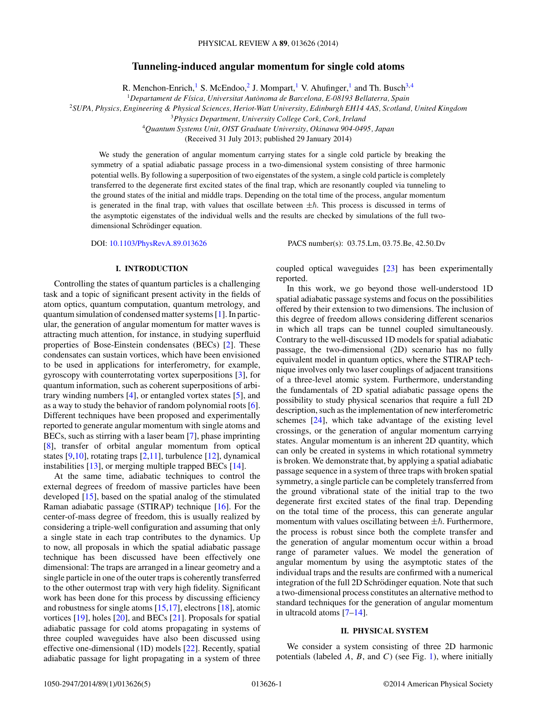## **Tunneling-induced angular momentum for single cold atoms**

R. Menchon-Enrich,<sup>1</sup> S. McEndoo,<sup>2</sup> J. Mompart,<sup>1</sup> V. Ahufinger,<sup>1</sup> and Th. Busch<sup>3,4</sup>

<sup>1</sup>*Departament de F´ısica, Universitat Autonoma de Barcelona, E-08193 Bellaterra, Spain `*

<sup>2</sup>*SUPA, Physics, Engineering & Physical Sciences, Heriot-Watt University, Edinburgh EH14 4AS, Scotland, United Kingdom*

<sup>3</sup>*Physics Department, University College Cork, Cork, Ireland*

<sup>4</sup>*Quantum Systems Unit, OIST Graduate University, Okinawa 904-0495, Japan*

(Received 31 July 2013; published 29 January 2014)

We study the generation of angular momentum carrying states for a single cold particle by breaking the symmetry of a spatial adiabatic passage process in a two-dimensional system consisting of three harmonic potential wells. By following a superposition of two eigenstates of the system, a single cold particle is completely transferred to the degenerate first excited states of the final trap, which are resonantly coupled via tunneling to the ground states of the initial and middle traps. Depending on the total time of the process, angular momentum is generated in the final trap, with values that oscillate between  $\pm \hbar$ . This process is discussed in terms of the asymptotic eigenstates of the individual wells and the results are checked by simulations of the full twodimensional Schrödinger equation.

DOI: [10.1103/PhysRevA.89.013626](http://dx.doi.org/10.1103/PhysRevA.89.013626) PACS number(s): 03*.*75*.*Lm*,* 03*.*75*.*Be*,* 42*.*50*.*Dv

#### **I. INTRODUCTION**

Controlling the states of quantum particles is a challenging task and a topic of significant present activity in the fields of atom optics, quantum computation, quantum metrology, and quantum simulation of condensed matter systems [\[1\]](#page-5-0). In particular, the generation of angular momentum for matter waves is attracting much attention, for instance, in studying superfluid properties of Bose-Einstein condensates (BECs) [\[2\]](#page-5-0). These condensates can sustain vortices, which have been envisioned to be used in applications for interferometry, for example, gyroscopy with counterrotating vortex superpositions [\[3\]](#page-5-0), for quantum information, such as coherent superpositions of arbitrary winding numbers [\[4\]](#page-5-0), or entangled vortex states [\[5\]](#page-5-0), and as a way to study the behavior of random polynomial roots [\[6\]](#page-5-0). Different techniques have been proposed and experimentally reported to generate angular momentum with single atoms and BECs, such as stirring with a laser beam [\[7\]](#page-5-0), phase imprinting [\[8\]](#page-5-0), transfer of orbital angular momentum from optical states [\[9,10\]](#page-5-0), rotating traps [\[2,11\]](#page-5-0), turbulence [\[12\]](#page-5-0), dynamical instabilities [\[13\]](#page-5-0), or merging multiple trapped BECs [\[14\]](#page-5-0).

At the same time, adiabatic techniques to control the external degrees of freedom of massive particles have been developed [\[15\]](#page-5-0), based on the spatial analog of the stimulated Raman adiabatic passage (STIRAP) technique [\[16\]](#page-5-0). For the center-of-mass degree of freedom, this is usually realized by considering a triple-well configuration and assuming that only a single state in each trap contributes to the dynamics. Up to now, all proposals in which the spatial adiabatic passage technique has been discussed have been effectively one dimensional: The traps are arranged in a linear geometry and a single particle in one of the outer traps is coherently transferred to the other outermost trap with very high fidelity. Significant work has been done for this process by discussing efficiency and robustness for single atoms [\[15,17\]](#page-5-0), electrons [\[18\]](#page-5-0), atomic vortices [\[19\]](#page-5-0), holes [\[20\]](#page-5-0), and BECs [\[21\]](#page-5-0). Proposals for spatial adiabatic passage for cold atoms propagating in systems of three coupled waveguides have also been discussed using effective one-dimensional (1D) models [\[22\]](#page-5-0). Recently, spatial adiabatic passage for light propagating in a system of three

coupled optical waveguides [\[23\]](#page-5-0) has been experimentally reported.

In this work, we go beyond those well-understood 1D spatial adiabatic passage systems and focus on the possibilities offered by their extension to two dimensions. The inclusion of this degree of freedom allows considering different scenarios in which all traps can be tunnel coupled simultaneously. Contrary to the well-discussed 1D models for spatial adiabatic passage, the two-dimensional (2D) scenario has no fully equivalent model in quantum optics, where the STIRAP technique involves only two laser couplings of adjacent transitions of a three-level atomic system. Furthermore, understanding the fundamentals of 2D spatial adiabatic passage opens the possibility to study physical scenarios that require a full 2D description, such as the implementation of new interferometric schemes [\[24\]](#page-5-0), which take advantage of the existing level crossings, or the generation of angular momentum carrying states. Angular momentum is an inherent 2D quantity, which can only be created in systems in which rotational symmetry is broken. We demonstrate that, by applying a spatial adiabatic passage sequence in a system of three traps with broken spatial symmetry, a single particle can be completely transferred from the ground vibrational state of the initial trap to the two degenerate first excited states of the final trap. Depending on the total time of the process, this can generate angular momentum with values oscillating between  $\pm \hbar$ . Furthermore, the process is robust since both the complete transfer and the generation of angular momentum occur within a broad range of parameter values. We model the generation of angular momentum by using the asymptotic states of the individual traps and the results are confirmed with a numerical integration of the full 2D Schrödinger equation. Note that such a two-dimensional process constitutes an alternative method to standard techniques for the generation of angular momentum in ultracold atoms [\[7–14\]](#page-5-0).

#### **II. PHYSICAL SYSTEM**

We consider a system consisting of three 2D harmonic potentials (labeled *A*, *B*, and *C*) (see Fig. [1\)](#page-2-0), where initially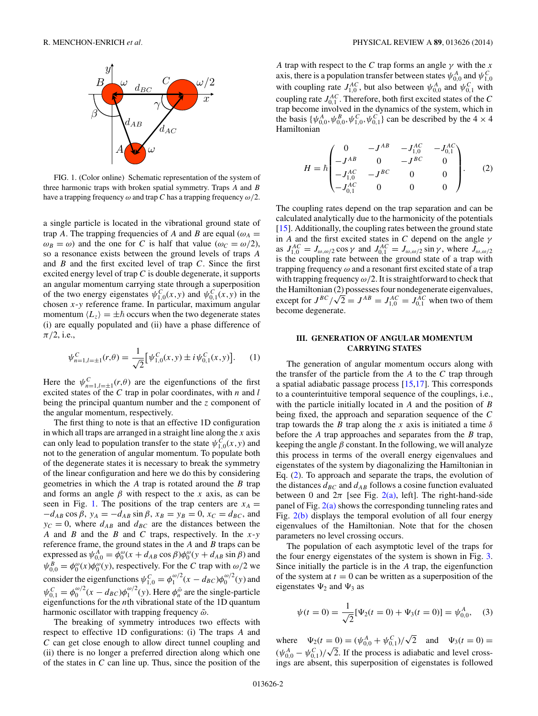<span id="page-2-0"></span>

FIG. 1. (Color online) Schematic representation of the system of three harmonic traps with broken spatial symmetry. Traps *A* and *B* have a trapping frequency *ω* and trap *C* has a trapping frequency *ω/*2.

a single particle is located in the vibrational ground state of trap *A*. The trapping frequencies of *A* and *B* are equal ( $\omega_A$  =  $\omega_B = \omega$ ) and the one for *C* is half that value ( $\omega_C = \omega/2$ ), so a resonance exists between the ground levels of traps *A* and *B* and the first excited level of trap *C*. Since the first excited energy level of trap *C* is double degenerate, it supports an angular momentum carrying state through a superposition of the two energy eigenstates  $\psi_{1,0}^{C}(x,y)$  and  $\psi_{0,1}^{C}(x,y)$  in the chosen *x*-*y* reference frame. In particular, maximum angular momentum  $\langle L_z \rangle = \pm \hbar$  occurs when the two degenerate states (i) are equally populated and (ii) have a phase difference of *π/*2, i.e.,

$$
\psi_{n=1,l=\pm 1}^{C}(r,\theta) = \frac{1}{\sqrt{2}} \big[ \psi_{1,0}^{C}(x,y) \pm i \psi_{0,1}^{C}(x,y) \big]. \tag{1}
$$

Here the  $\psi_{n=1,l=\pm 1}^{C}(r,\theta)$  are the eigenfunctions of the first excited states of the *C* trap in polar coordinates, with *n* and *l* being the principal quantum number and the *z* component of the angular momentum, respectively.

The first thing to note is that an effective 1D configuration in which all traps are arranged in a straight line along the *x* axis can only lead to population transfer to the state  $\psi_{1,0}^{\vec{C}}(x,y)$  and not to the generation of angular momentum. To populate both of the degenerate states it is necessary to break the symmetry of the linear configuration and here we do this by considering geometries in which the *A* trap is rotated around the *B* trap and forms an angle  $\beta$  with respect to the *x* axis, as can be seen in Fig. 1. The positions of the trap centers are  $x_A =$  $-d_{AB}\cos\beta$ ,  $y_A = -d_{AB}\sin\beta$ ,  $x_B = y_B = 0$ ,  $x_C = d_{BC}$ , and  $y_C = 0$ , where  $d_{AB}$  and  $d_{BC}$  are the distances between the *A* and *B* and the *B* and *C* traps, respectively. In the *x*-*y* reference frame, the ground states in the *A* and *B* traps can be expressed as  $\psi_{0,0}^A = \phi_0^{\omega}(x + d_{AB} \cos \beta)\phi_0^{\omega}(y + d_{AB} \sin \beta)$  and  $\psi_{0,0}^B = \phi_0^\omega(x)\phi_0^\omega(y)$ , respectively. For the *C* trap with  $\omega/2$  we consider the eigenfunctions  $\psi_{1,0}^C = \phi_1^{\omega/2} (x - d_{BC}) \phi_0^{\omega/2} (y)$  and  $\psi_{0,1}^C = \phi_0^{\omega/2} (x - d_{BC}) \phi_1^{\omega/2} (y)$ . Here  $\phi_n^{\tilde{\omega}}$  are the single-particle eigenfunctions for the *n*th vibrational state of the 1D quantum harmonic oscillator with trapping frequency  $\tilde{\omega}$ .

The breaking of symmetry introduces two effects with respect to effective 1D configurations: (i) The traps *A* and *C* can get close enough to allow direct tunnel coupling and (ii) there is no longer a preferred direction along which one of the states in *C* can line up. Thus, since the position of the

*A* trap with respect to the *C* trap forms an angle  $\gamma$  with the *x* axis, there is a population transfer between states  $\psi_{0,0}^A$  and  $\psi_{1,0}^C$ with coupling rate  $J_{1,0}^{AC}$ , but also between  $\psi_{0,0}^{A}$  and  $\psi_{0,1}^{C}$  with coupling rate  $J_{0,1}^{AC}$ . Therefore, both first excited states of the *C* trap become involved in the dynamics of the system, which in the basis  $\{\psi_{0,0}^A, \psi_{0,0}^B, \psi_{1,0}^C, \psi_{0,1}^C\}$  can be described by the  $4 \times 4$ Hamiltonian

$$
H = \hbar \begin{pmatrix} 0 & -J^{AB} & -J_{1,0}^{AC} & -J_{0,1}^{AC} \\ -J^{AB} & 0 & -J^{BC} & 0 \\ -J_{1,0}^{AC} & -J^{BC} & 0 & 0 \\ -J_{0,1}^{AC} & 0 & 0 & 0 \end{pmatrix}.
$$
 (2)

The coupling rates depend on the trap separation and can be calculated analytically due to the harmonicity of the potentials [\[15\]](#page-5-0). Additionally, the coupling rates between the ground state in *A* and the first excited states in *C* depend on the angle *γ* as  $J_{1,0}^{AC} = J_{\omega,\omega/2} \cos \gamma$  and  $J_{0,1}^{AC} = J_{\omega,\omega/2} \sin \gamma$ , where  $J_{\omega,\omega/2}$ is the coupling rate between the ground state of a trap with trapping frequency *ω* and a resonant first excited state of a trap with trapping frequency  $\omega/2$ . It is straightforward to check that the Hamiltonian (2) possesses four nondegenerate eigenvalues, the Hamiltonian (2) possesses four nondegenerate eigenvalues,<br>except for  $J^{BC}/\sqrt{2} = J^{AB} = J_{1,0}^{AC} = J_{0,1}^{AC}$  when two of them become degenerate.

#### **III. GENERATION OF ANGULAR MOMENTUM CARRYING STATES**

The generation of angular momentum occurs along with the transfer of the particle from the *A* to the *C* trap through a spatial adiabatic passage process [\[15,17\]](#page-5-0). This corresponds to a counterintuitive temporal sequence of the couplings, i.e., with the particle initially located in *A* and the position of *B* being fixed, the approach and separation sequence of the *C* trap towards the *B* trap along the *x* axis is initiated a time  $\delta$ before the *A* trap approaches and separates from the *B* trap, keeping the angle  $\beta$  constant. In the following, we will analyze this process in terms of the overall energy eigenvalues and eigenstates of the system by diagonalizing the Hamiltonian in Eq. (2). To approach and separate the traps, the evolution of the distances  $d_{BC}$  and  $d_{AB}$  follows a cosine function evaluated between 0 and  $2\pi$  [see Fig. [2\(a\),](#page-3-0) left]. The right-hand-side panel of Fig. [2\(a\)](#page-3-0) shows the corresponding tunneling rates and Fig. [2\(b\)](#page-3-0) displays the temporal evolution of all four energy eigenvalues of the Hamiltonian. Note that for the chosen parameters no level crossing occurs.

The population of each asymptotic level of the traps for the four energy eigenstates of the system is shown in Fig. [3.](#page-3-0) Since initially the particle is in the *A* trap, the eigenfunction of the system at  $t = 0$  can be written as a superposition of the eigenstates  $\Psi_2$  and  $\Psi_3$  as

$$
\psi(t=0) = \frac{1}{\sqrt{2}} [\Psi_2(t=0) + \Psi_3(t=0)] = \psi_{0,0}^A, \quad (3)
$$

where  $\Psi_2(t=0) = (\psi_{0,0}^A + \psi_{0,1}^C)/\sqrt{2}$  and  $\Psi_3(t=0) =$  $(\psi_{0,0}^A - \psi_{0,1}^C)/\sqrt{2}$ . If the process is adiabatic and level crossings are absent, this superposition of eigenstates is followed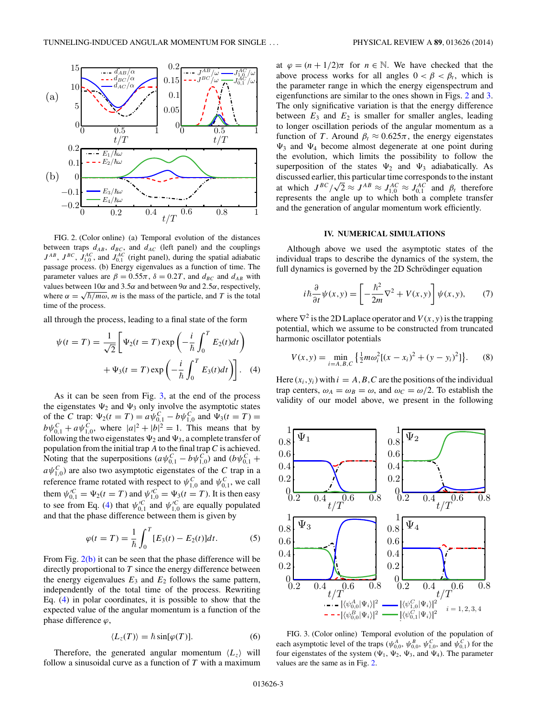<span id="page-3-0"></span>

FIG. 2. (Color online) (a) Temporal evolution of the distances between traps  $d_{AB}$ ,  $d_{BC}$ , and  $d_{AC}$  (left panel) and the couplings  $J^{AB}$ ,  $J^{BC}$ ,  $J_{1,0}^{AC}$ , and  $J_{0,1}^{AC}$  (right panel), during the spatial adiabatic passage process. (b) Energy eigenvalues as a function of time. The parameter values are  $\beta = 0.55\pi$ ,  $\delta = 0.2T$ , and  $d_{BC}$  and  $d_{AB}$  with values between 10*α* and 3*.*5*α* and between 9*α* and 2*.*5*α*, respectively, where  $\alpha = \sqrt{\hbar/m\omega}$ , *m* is the mass of the particle, and *T* is the total time of the process.

all through the process, leading to a final state of the form

$$
\psi(t = T) = \frac{1}{\sqrt{2}} \left[ \Psi_2(t = T) \exp\left( -\frac{i}{\hbar} \int_0^T E_2(t) dt \right) + \Psi_3(t = T) \exp\left( -\frac{i}{\hbar} \int_0^T E_3(t) dt \right) \right].
$$
 (4)

As it can be seen from Fig. 3, at the end of the process the eigenstates  $\Psi_2$  and  $\Psi_3$  only involve the asymptotic states of the *C* trap:  $\Psi_2(t = T) = a \psi_{0,1}^C - b \psi_{1,0}^C$  and  $\Psi_3(t = T) =$  $b\psi_{0,1}^C + a\psi_{1,0}^C$ , where  $|a|^2 + |b|^2 = 1$ . This means that by following the two eigenstates  $\Psi_2$  and  $\Psi_3$ , a complete transfer of population from the initial trap *A* to the final trap*C* is achieved. Noting that the superpositions  $(a\psi_{0,1}^C - b\psi_{1,0}^C)$  and  $(b\psi_{0,1}^C + b\psi_{1,0}^C)$  $a\psi_{1,0}^C$  are also two asymptotic eigenstates of the *C* trap in a reference frame rotated with respect to  $\psi_{1,0}^C$  and  $\psi_{0,1}^C$ , we call them  $\psi_{0,1}^{\prime C} = \Psi_2(t = T)$  and  $\psi_{1,0}^{\prime C} = \Psi_3(t = T)$ . It is then easy to see from Eq. (4) that  $\psi_{0,1}^{\prime C}$  and  $\psi_{1,0}^{\prime C}$  are equally populated and that the phase difference between them is given by

$$
\varphi(t = T) = \frac{1}{\hbar} \int_0^T [E_3(t) - E_2(t)] dt.
$$
 (5)

From Fig. 2(b) it can be seen that the phase difference will be directly proportional to *T* since the energy difference between the energy eigenvalues  $E_3$  and  $E_2$  follows the same pattern, independently of the total time of the process. Rewriting Eq. (4) in polar coordinates, it is possible to show that the expected value of the angular momentum is a function of the phase difference *ϕ*,

$$
\langle L_z(T) \rangle = \hbar \sin[\varphi(T)]. \tag{6}
$$

Therefore, the generated angular momentum  $\langle L_z \rangle$  will follow a sinusoidal curve as a function of *T* with a maximum at  $\varphi = (n + 1/2)\pi$  for  $n \in \mathbb{N}$ . We have checked that the above process works for all angles  $0 < \beta < \beta_t$ , which is the parameter range in which the energy eigenspectrum and eigenfunctions are similar to the ones shown in Figs. 2 and 3. The only significative variation is that the energy difference between  $E_3$  and  $E_2$  is smaller for smaller angles, leading to longer oscillation periods of the angular momentum as a function of *T*. Around  $\beta_t \approx 0.625\pi$ , the energy eigenstates  $\Psi_3$  and  $\Psi_4$  become almost degenerate at one point during the evolution, which limits the possibility to follow the superposition of the states  $\Psi_2$  and  $\Psi_3$  adiabatically. As discussed earlier, this particular time corresponds to the instant at which  $J^{BC}/\sqrt{2} \approx J^{AB} \approx J_{1,0}^{AC} \approx J_{0,1}^{AC}$  and  $\beta_t$  therefore represents the angle up to which both a complete transfer and the generation of angular momentum work efficiently.

#### **IV. NUMERICAL SIMULATIONS**

Although above we used the asymptotic states of the individual traps to describe the dynamics of the system, the full dynamics is governed by the 2D Schrödinger equation

$$
i\hbar \frac{\partial}{\partial t}\psi(x,y) = \left[ -\frac{\hbar^2}{2m}\nabla^2 + V(x,y) \right] \psi(x,y), \tag{7}
$$

where  $\nabla^2$  is the 2D Laplace operator and  $V(x, y)$  is the trapping potential, which we assume to be constructed from truncated harmonic oscillator potentials

$$
V(x,y) = \min_{i=A,B,C} \left\{ \frac{1}{2} m \omega_i^2 [(x - x_i)^2 + (y - y_i)^2] \right\}.
$$
 (8)

Here  $(x_i, y_i)$  with  $i = A, B, C$  are the positions of the individual trap centers,  $\omega_A = \omega_B = \omega$ , and  $\omega_C = \omega/2$ . To establish the validity of our model above, we present in the following



FIG. 3. (Color online) Temporal evolution of the population of each asymptotic level of the traps ( $\psi_{0,0}^A$ ,  $\psi_{0,0}^B$ ,  $\psi_{1,0}^C$ , and  $\psi_{0,1}^C$ ) for the four eigenstates of the system ( $\Psi_1$ ,  $\Psi_2$ ,  $\Psi_3$ , and  $\Psi_4$ ). The parameter values are the same as in Fig. 2.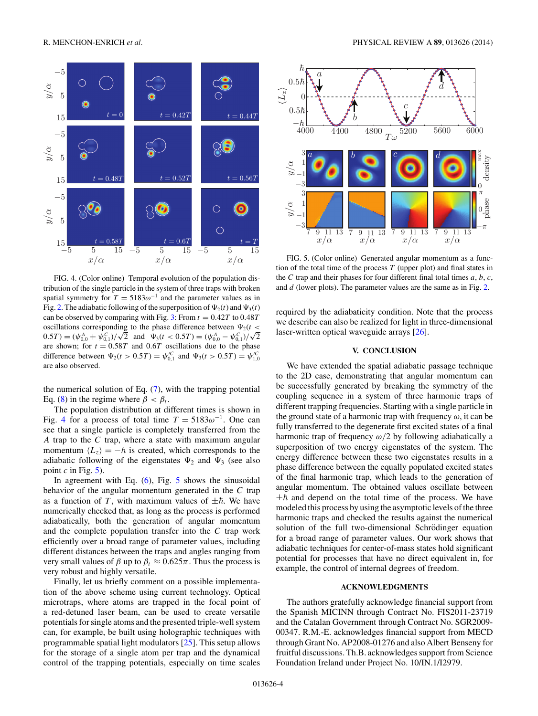

FIG. 4. (Color online) Temporal evolution of the population distribution of the single particle in the system of three traps with broken spatial symmetry for  $T = 5183\omega^{-1}$  and the parameter values as in Fig. [2.](#page-3-0) The adiabatic following of the superposition of  $\Psi_2(t)$  and  $\Psi_3(t)$ can be observed by comparing with Fig. [3:](#page-3-0) From  $t = 0.42T$  to  $0.48T$ oscillations corresponding to the phase difference between  $\Psi_2(t \leq$  $0.5T$ ) = ( $\psi_{0,0}^A + \psi_{0,1}^C$ )/ $\sqrt{2}$  and  $\Psi_3(t < 0.5T) = (\psi_{0,0}^A - \psi_{0,1}^C)/\sqrt{2}$ are shown; for  $t = 0.58T$  and  $0.6T$  oscillations due to the phase difference between  $\Psi_2(t > 0.5T) = \psi_{0,1}^C$  and  $\Psi_3(t > 0.5T) = \psi_{1,0}^C$ are also observed.

the numerical solution of Eq.  $(7)$ , with the trapping potential Eq. [\(8\)](#page-3-0) in the regime where  $\beta < \beta_t$ .

The population distribution at different times is shown in Fig. 4 for a process of total time  $T = 5183\omega^{-1}$ . One can see that a single particle is completely transferred from the *A* trap to the *C* trap, where a state with maximum angular momentum  $\langle L_z \rangle = -\hbar$  is created, which corresponds to the adiabatic following of the eigenstates  $\Psi_2$  and  $\Psi_3$  (see also point  $c$  in Fig.  $5$ ).

In agreement with Eq.  $(6)$ , Fig. 5 shows the sinusoidal behavior of the angular momentum generated in the *C* trap as a function of T, with maximum values of  $\pm \hbar$ . We have numerically checked that, as long as the process is performed adiabatically, both the generation of angular momentum and the complete population transfer into the *C* trap work efficiently over a broad range of parameter values, including different distances between the traps and angles ranging from very small values of  $\beta$  up to  $\beta_t \approx 0.625\pi$ . Thus the process is very robust and highly versatile.

Finally, let us briefly comment on a possible implementation of the above scheme using current technology. Optical microtraps, where atoms are trapped in the focal point of a red-detuned laser beam, can be used to create versatile potentials for single atoms and the presented triple-well system can, for example, be built using holographic techniques with programmable spatial light modulators [\[25\]](#page-5-0). This setup allows for the storage of a single atom per trap and the dynamical control of the trapping potentials, especially on time scales



FIG. 5. (Color online) Generated angular momentum as a function of the total time of the process *T* (upper plot) and final states in the *C* trap and their phases for four different final total times *a*, *b*, *c*, and *d* (lower plots). The parameter values are the same as in Fig. [2.](#page-3-0)

required by the adiabaticity condition. Note that the process we describe can also be realized for light in three-dimensional laser-written optical waveguide arrays [\[26\]](#page-5-0).

#### **V. CONCLUSION**

We have extended the spatial adiabatic passage technique to the 2D case, demonstrating that angular momentum can be successfully generated by breaking the symmetry of the coupling sequence in a system of three harmonic traps of different trapping frequencies. Starting with a single particle in the ground state of a harmonic trap with frequency  $\omega$ , it can be fully transferred to the degenerate first excited states of a final harmonic trap of frequency *ω/*2 by following adiabatically a superposition of two energy eigenstates of the system. The energy difference between these two eigenstates results in a phase difference between the equally populated excited states of the final harmonic trap, which leads to the generation of angular momentum. The obtained values oscillate between  $\pm \hbar$  and depend on the total time of the process. We have modeled this process by using the asymptotic levels of the three harmonic traps and checked the results against the numerical solution of the full two-dimensional Schrödinger equation for a broad range of parameter values. Our work shows that adiabatic techniques for center-of-mass states hold significant potential for processes that have no direct equivalent in, for example, the control of internal degrees of freedom.

#### **ACKNOWLEDGMENTS**

The authors gratefully acknowledge financial support from the Spanish MICINN through Contract No. FIS2011-23719 and the Catalan Government through Contract No. SGR2009- 00347. R.M.-E. acknowledges financial support from MECD through Grant No. AP2008-01276 and also Albert Benseny for fruitful discussions. Th.B. acknowledges support from Science Foundation Ireland under Project No. 10/IN.1/I2979.